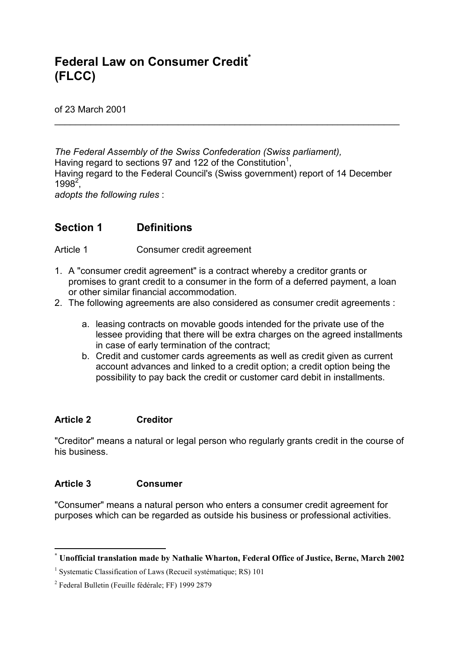# **Federal Law on Consumer Creditt (FLCC)**

of 23 March 2001

*The Federal Assembly of the Swiss Confederation (Swiss parliament),* Having regard to sections 97 and 122 of the Constitution<sup>1</sup>, Having regard to the Federal Council's (Swiss government) report of 14 December  $1998^2$ ,

 $\_$ 

*adopts the following rules* :

## **Section 1 Definitions**

Article 1 Consumer credit agreement

- 1. A "consumer credit agreement" is a contract whereby a creditor grants or promises to grant credit to a consumer in the form of a deferred payment, a loan or other similar financial accommodation.
- 2. The following agreements are also considered as consumer credit agreements :
	- a. leasing contracts on movable goods intended for the private use of the lessee providing that there will be extra charges on the agreed installments in case of early termination of the contract;
	- b. Credit and customer cards agreements as well as credit given as current account advances and linked to a credit option; a credit option being the possibility to pay back the credit or customer card debit in installments.

#### **Article 2 Creditor**

"Creditor" means a natural or legal person who regularly grants credit in the course of his business.

#### **Article 3 Consumer**

l

"Consumer" means a natural person who enters a consumer credit agreement for purposes which can be regarded as outside his business or professional activities.

**<sup>\*</sup> Unofficial translation made by Nathalie Wharton, Federal Office of Justice, Berne, March 2002**

<sup>&</sup>lt;sup>1</sup> Systematic Classification of Laws (Recueil systématique; RS) 101

<sup>&</sup>lt;sup>2</sup> Federal Bulletin (Feuille fédérale; FF) 1999 2879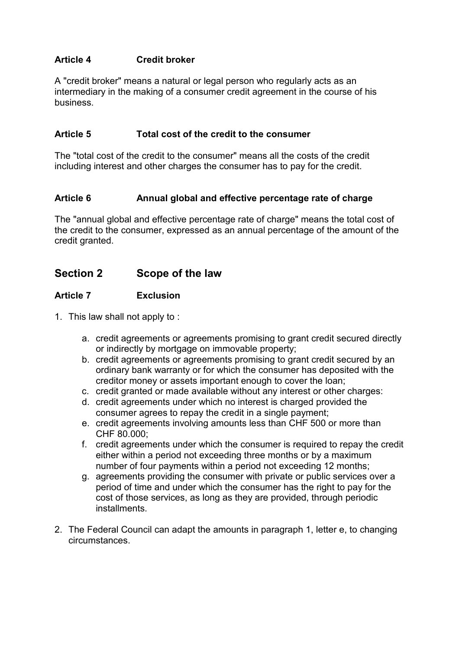### **Article 4 Credit broker**

A "credit broker" means a natural or legal person who regularly acts as an intermediary in the making of a consumer credit agreement in the course of his business.

#### **Article 5 Total cost of the credit to the consumer**

The "total cost of the credit to the consumer" means all the costs of the credit including interest and other charges the consumer has to pay for the credit.

#### Article 6 **Annual global and effective percentage rate of charge**

The "annual global and effective percentage rate of charge" means the total cost of the credit to the consumer, expressed as an annual percentage of the amount of the credit granted.

## **Section 2 Scope of the law**

#### **Article 7 Exclusion**

- 1. This law shall not apply to :
	- a. credit agreements or agreements promising to grant credit secured directly or indirectly by mortgage on immovable property;
	- b. credit agreements or agreements promising to grant credit secured by an ordinary bank warranty or for which the consumer has deposited with the creditor money or assets important enough to cover the loan;
	- c. credit granted or made available without any interest or other charges:
	- d. credit agreements under which no interest is charged provided the consumer agrees to repay the credit in a single payment;
	- e. credit agreements involving amounts less than CHF 500 or more than CHF 80.000;
	- f. credit agreements under which the consumer is required to repay the credit either within a period not exceeding three months or by a maximum number of four payments within a period not exceeding 12 months;
	- g. agreements providing the consumer with private or public services over a period of time and under which the consumer has the right to pay for the cost of those services, as long as they are provided, through periodic installments.
- 2. The Federal Council can adapt the amounts in paragraph 1, letter e, to changing circumstances.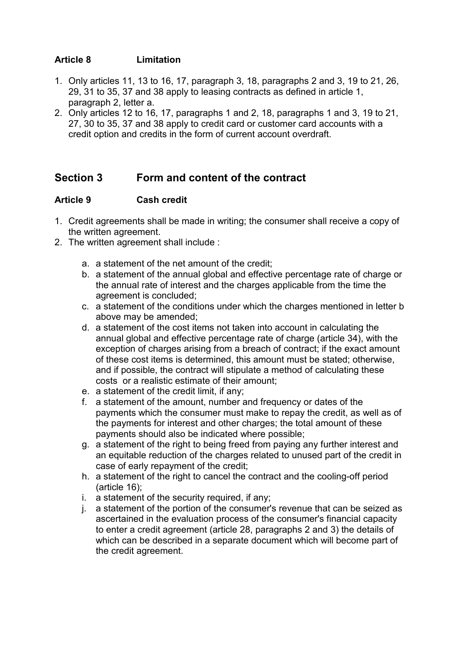### **Article 8 Limitation**

- 1. Only articles 11, 13 to 16, 17, paragraph 3, 18, paragraphs 2 and 3, 19 to 21, 26, 29, 31 to 35, 37 and 38 apply to leasing contracts as defined in article 1, paragraph 2, letter a.
- 2. Only articles 12 to 16, 17, paragraphs 1 and 2, 18, paragraphs 1 and 3, 19 to 21, 27, 30 to 35, 37 and 38 apply to credit card or customer card accounts with a credit option and credits in the form of current account overdraft.

## **Section 3 Form and content of the contract**

#### **Article 9 Cash credit**

- 1. Credit agreements shall be made in writing; the consumer shall receive a copy of the written agreement.
- 2. The written agreement shall include :
	- a. a statement of the net amount of the credit;
	- b. a statement of the annual global and effective percentage rate of charge or the annual rate of interest and the charges applicable from the time the agreement is concluded;
	- c. a statement of the conditions under which the charges mentioned in letter b above may be amended;
	- d. a statement of the cost items not taken into account in calculating the annual global and effective percentage rate of charge (article 34), with the exception of charges arising from a breach of contract; if the exact amount of these cost items is determined, this amount must be stated; otherwise, and if possible, the contract will stipulate a method of calculating these costs or a realistic estimate of their amount;
	- e. a statement of the credit limit, if any;
	- f. a statement of the amount, number and frequency or dates of the payments which the consumer must make to repay the credit, as well as of the payments for interest and other charges; the total amount of these payments should also be indicated where possible;
	- g. a statement of the right to being freed from paying any further interest and an equitable reduction of the charges related to unused part of the credit in case of early repayment of the credit;
	- h. a statement of the right to cancel the contract and the cooling-off period (article 16);
	- i. a statement of the security required, if any;
	- j. a statement of the portion of the consumer's revenue that can be seized as ascertained in the evaluation process of the consumer's financial capacity to enter a credit agreement (article 28, paragraphs 2 and 3) the details of which can be described in a separate document which will become part of the credit agreement.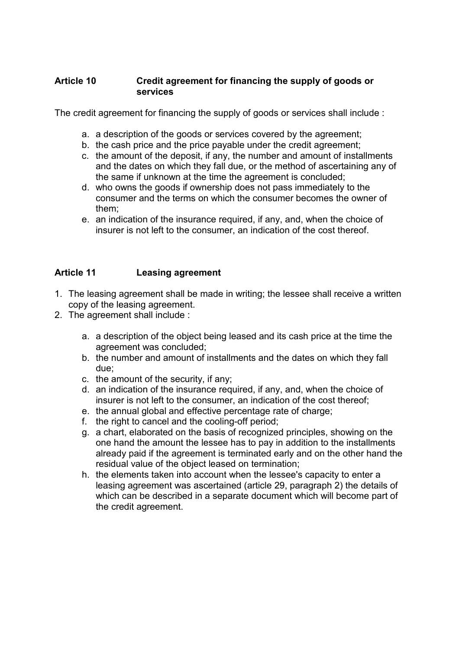#### **Article 10 Credit agreement for financing the supply of goods or services**

The credit agreement for financing the supply of goods or services shall include :

- a. a description of the goods or services covered by the agreement;
- b. the cash price and the price payable under the credit agreement;
- c. the amount of the deposit, if any, the number and amount of installments and the dates on which they fall due, or the method of ascertaining any of the same if unknown at the time the agreement is concluded;
- d. who owns the goods if ownership does not pass immediately to the consumer and the terms on which the consumer becomes the owner of them;
- e. an indication of the insurance required, if any, and, when the choice of insurer is not left to the consumer, an indication of the cost thereof.

#### **Article 11 Leasing agreement**

- 1. The leasing agreement shall be made in writing; the lessee shall receive a written copy of the leasing agreement.
- 2. The agreement shall include :
	- a. a description of the object being leased and its cash price at the time the agreement was concluded;
	- b. the number and amount of installments and the dates on which they fall due;
	- c. the amount of the security, if any;
	- d. an indication of the insurance required, if any, and, when the choice of insurer is not left to the consumer, an indication of the cost thereof;
	- e. the annual global and effective percentage rate of charge;
	- f. the right to cancel and the cooling-off period;
	- g. a chart, elaborated on the basis of recognized principles, showing on the one hand the amount the lessee has to pay in addition to the installments already paid if the agreement is terminated early and on the other hand the residual value of the object leased on termination;
	- h. the elements taken into account when the lessee's capacity to enter a leasing agreement was ascertained (article 29, paragraph 2) the details of which can be described in a separate document which will become part of the credit agreement.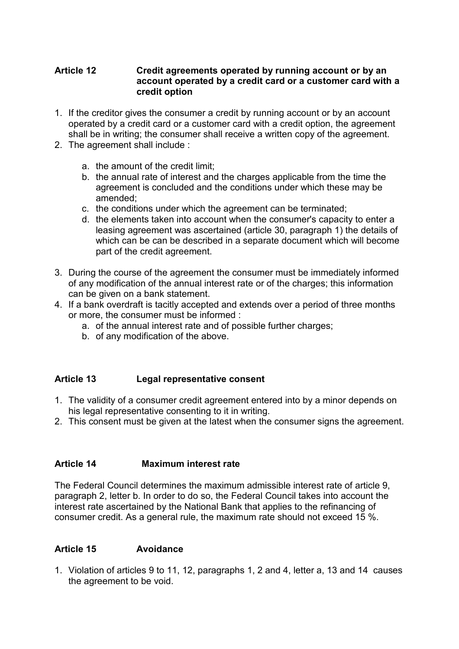#### **Article 12 Credit agreements operated by running account or by an account operated by a credit card or a customer card with a credit option**

- 1. If the creditor gives the consumer a credit by running account or by an account operated by a credit card or a customer card with a credit option, the agreement shall be in writing; the consumer shall receive a written copy of the agreement.
- 2. The agreement shall include :
	- a. the amount of the credit limit;
	- b. the annual rate of interest and the charges applicable from the time the agreement is concluded and the conditions under which these may be amended;
	- c. the conditions under which the agreement can be terminated;
	- d. the elements taken into account when the consumer's capacity to enter a leasing agreement was ascertained (article 30, paragraph 1) the details of which can be can be described in a separate document which will become part of the credit agreement.
- 3. During the course of the agreement the consumer must be immediately informed of any modification of the annual interest rate or of the charges; this information can be given on a bank statement.
- 4. If a bank overdraft is tacitly accepted and extends over a period of three months or more, the consumer must be informed :
	- a. of the annual interest rate and of possible further charges;
	- b. of any modification of the above.

#### **Article 13 Legal representative consent**

- 1. The validity of a consumer credit agreement entered into by a minor depends on his legal representative consenting to it in writing.
- 2. This consent must be given at the latest when the consumer signs the agreement.

#### **Article 14 Maximum interest rate**

The Federal Council determines the maximum admissible interest rate of article 9, paragraph 2, letter b. In order to do so, the Federal Council takes into account the interest rate ascertained by the National Bank that applies to the refinancing of consumer credit. As a general rule, the maximum rate should not exceed 15 %.

#### **Article 15 Avoidance**

1. Violation of articles 9 to 11, 12, paragraphs 1, 2 and 4, letter a, 13 and 14 causes the agreement to be void.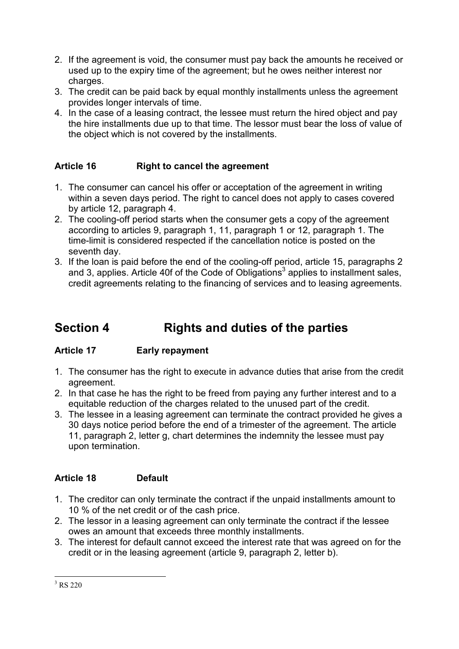- 2. If the agreement is void, the consumer must pay back the amounts he received or used up to the expiry time of the agreement; but he owes neither interest nor charges.
- 3. The credit can be paid back by equal monthly installments unless the agreement provides longer intervals of time.
- 4. In the case of a leasing contract, the lessee must return the hired object and pay the hire installments due up to that time. The lessor must bear the loss of value of the object which is not covered by the installments.

## **Article 16 Right to cancel the agreement**

- 1. The consumer can cancel his offer or acceptation of the agreement in writing within a seven days period. The right to cancel does not apply to cases covered by article 12, paragraph 4.
- 2. The cooling-off period starts when the consumer gets a copy of the agreement according to articles 9, paragraph 1, 11, paragraph 1 or 12, paragraph 1. The time-limit is considered respected if the cancellation notice is posted on the seventh day.
- 3. If the loan is paid before the end of the cooling-off period, article 15, paragraphs 2 and 3, applies. Article 40f of the Code of Obligations<sup>3</sup> applies to installment sales, credit agreements relating to the financing of services and to leasing agreements.

# **Section 4 Rights and duties of the parties**

## **Article 17 Early repayment**

- 1. The consumer has the right to execute in advance duties that arise from the credit agreement.
- 2. In that case he has the right to be freed from paying any further interest and to a equitable reduction of the charges related to the unused part of the credit.
- 3. The lessee in a leasing agreement can terminate the contract provided he gives a 30 days notice period before the end of a trimester of the agreement. The article 11, paragraph 2, letter g, chart determines the indemnity the lessee must pay upon termination.

## **Article 18 Default**

- 1. The creditor can only terminate the contract if the unpaid installments amount to 10 % of the net credit or of the cash price.
- 2. The lessor in a leasing agreement can only terminate the contract if the lessee owes an amount that exceeds three monthly installments.
- 3. The interest for default cannot exceed the interest rate that was agreed on for the credit or in the leasing agreement (article 9, paragraph 2, letter b).

l  $3$  RS 220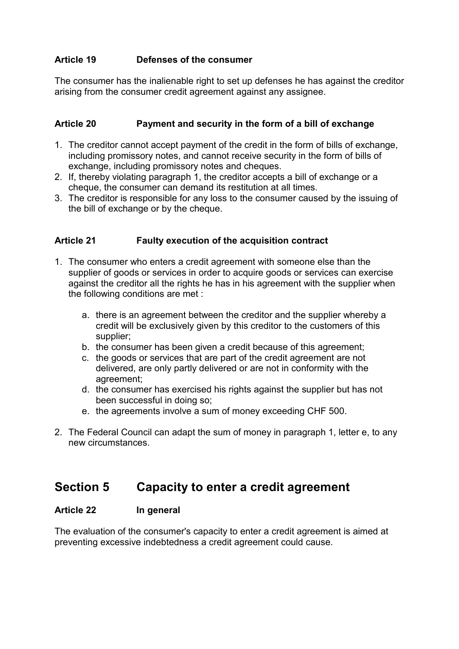### **Article 19 Defenses of the consumer**

The consumer has the inalienable right to set up defenses he has against the creditor arising from the consumer credit agreement against any assignee.

#### **Article 20 Payment and security in the form of a bill of exchange**

- 1. The creditor cannot accept payment of the credit in the form of bills of exchange, including promissory notes, and cannot receive security in the form of bills of exchange, including promissory notes and cheques.
- 2. If, thereby violating paragraph 1, the creditor accepts a bill of exchange or a cheque, the consumer can demand its restitution at all times.
- 3. The creditor is responsible for any loss to the consumer caused by the issuing of the bill of exchange or by the cheque.

#### **Article 21 Faulty execution of the acquisition contract**

- 1. The consumer who enters a credit agreement with someone else than the supplier of goods or services in order to acquire goods or services can exercise against the creditor all the rights he has in his agreement with the supplier when the following conditions are met :
	- a. there is an agreement between the creditor and the supplier whereby a credit will be exclusively given by this creditor to the customers of this supplier;
	- b. the consumer has been given a credit because of this agreement;
	- c. the goods or services that are part of the credit agreement are not delivered, are only partly delivered or are not in conformity with the agreement;
	- d. the consumer has exercised his rights against the supplier but has not been successful in doing so;
	- e. the agreements involve a sum of money exceeding CHF 500.
- 2. The Federal Council can adapt the sum of money in paragraph 1, letter e, to any new circumstances.

## **Section 5 Capacity to enter a credit agreement**

#### **Article 22 In general**

The evaluation of the consumer's capacity to enter a credit agreement is aimed at preventing excessive indebtedness a credit agreement could cause.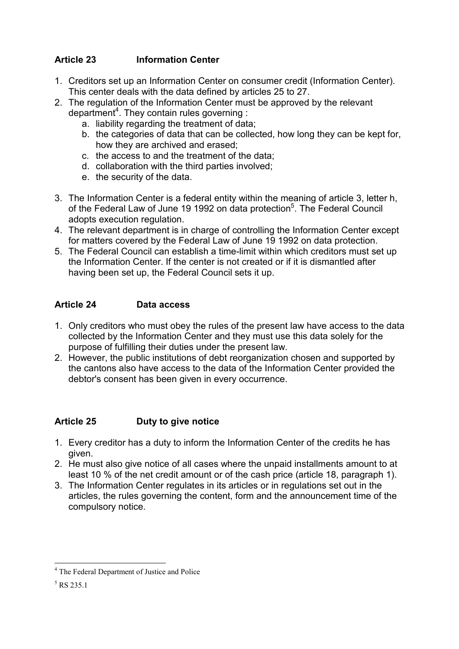## **Article 23 Information Center**

- 1. Creditors set up an Information Center on consumer credit (Information Center). This center deals with the data defined by articles 25 to 27.
- 2. The regulation of the Information Center must be approved by the relevant department<sup>4</sup>. They contain rules governing:
	- a. liability regarding the treatment of data;
	- b. the categories of data that can be collected, how long they can be kept for, how they are archived and erased;
	- c. the access to and the treatment of the data;
	- d. collaboration with the third parties involved;
	- e. the security of the data.
- 3. The Information Center is a federal entity within the meaning of article 3, letter h, of the Federal Law of June 19 1992 on data protection<sup>5</sup>. The Federal Council adopts execution regulation.
- 4. The relevant department is in charge of controlling the Information Center except for matters covered by the Federal Law of June 19 1992 on data protection.
- 5. The Federal Council can establish a time-limit within which creditors must set up the Information Center. If the center is not created or if it is dismantled after having been set up, the Federal Council sets it up.

### **Article 24 Data access**

- 1. Only creditors who must obey the rules of the present law have access to the data collected by the Information Center and they must use this data solely for the purpose of fulfilling their duties under the present law.
- 2. However, the public institutions of debt reorganization chosen and supported by the cantons also have access to the data of the Information Center provided the debtor's consent has been given in every occurrence.

## **Article 25 Duty to give notice**

- 1. Every creditor has a duty to inform the Information Center of the credits he has given.
- 2. He must also give notice of all cases where the unpaid installments amount to at least 10 % of the net credit amount or of the cash price (article 18, paragraph 1).
- 3. The Information Center regulates in its articles or in regulations set out in the articles, the rules governing the content, form and the announcement time of the compulsory notice.

l

<sup>&</sup>lt;sup>4</sup> The Federal Department of Justice and Police

<sup>5</sup> RS 235.1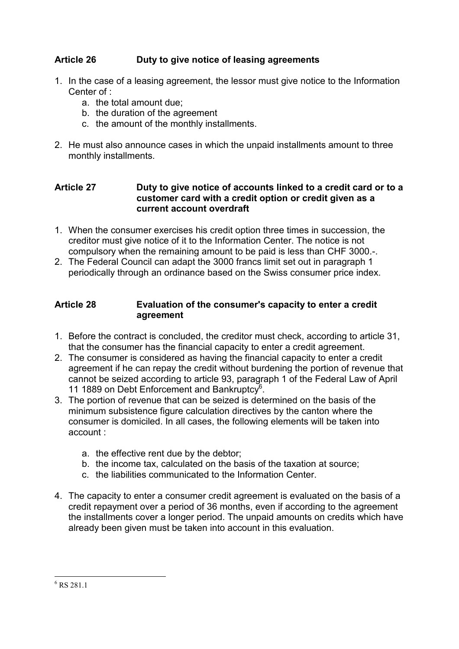### **Article 26 Duty to give notice of leasing agreements**

- 1. In the case of a leasing agreement, the lessor must give notice to the Information Center of :
	- a. the total amount due;
	- b. the duration of the agreement
	- c. the amount of the monthly installments.
- 2. He must also announce cases in which the unpaid installments amount to three monthly installments.

#### **Article 27 Duty to give notice of accounts linked to a credit card or to a customer card with a credit option or credit given as a current account overdraft**

- 1. When the consumer exercises his credit option three times in succession, the creditor must give notice of it to the Information Center. The notice is not compulsory when the remaining amount to be paid is less than CHF 3000.-.
- 2. The Federal Council can adapt the 3000 francs limit set out in paragraph 1 periodically through an ordinance based on the Swiss consumer price index.

#### **Article 28 Evaluation of the consumer's capacity to enter a credit agreement**

- 1. Before the contract is concluded, the creditor must check, according to article 31, that the consumer has the financial capacity to enter a credit agreement.
- 2. The consumer is considered as having the financial capacity to enter a credit agreement if he can repay the credit without burdening the portion of revenue that cannot be seized according to article 93, paragraph 1 of the Federal Law of April 11 1889 on Debt Enforcement and Bankruptcy<sup>6</sup>.
- 3. The portion of revenue that can be seized is determined on the basis of the minimum subsistence figure calculation directives by the canton where the consumer is domiciled. In all cases, the following elements will be taken into account :
	- a. the effective rent due by the debtor;
	- b. the income tax, calculated on the basis of the taxation at source;
	- c. the liabilities communicated to the Information Center.
- 4. The capacity to enter a consumer credit agreement is evaluated on the basis of a credit repayment over a period of 36 months, even if according to the agreement the installments cover a longer period. The unpaid amounts on credits which have already been given must be taken into account in this evaluation.

l 6 RS 281.1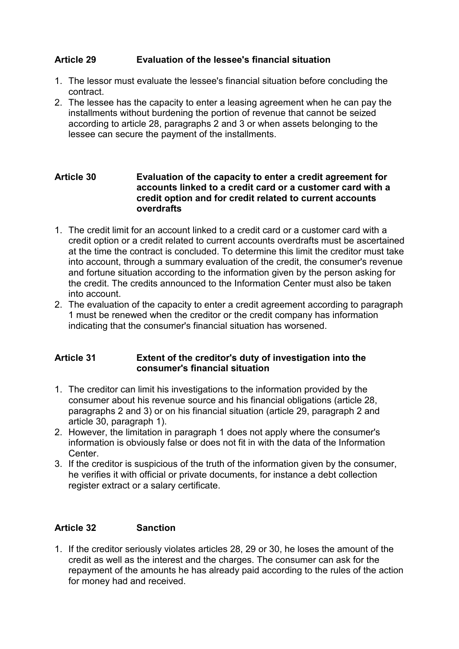#### **Article 29 Evaluation of the lessee's financial situation**

- 1. The lessor must evaluate the lessee's financial situation before concluding the contract.
- 2. The lessee has the capacity to enter a leasing agreement when he can pay the installments without burdening the portion of revenue that cannot be seized according to article 28, paragraphs 2 and 3 or when assets belonging to the lessee can secure the payment of the installments.

#### **Article 30 Evaluation of the capacity to enter a credit agreement for accounts linked to a credit card or a customer card with a credit option and for credit related to current accounts overdrafts**

- 1. The credit limit for an account linked to a credit card or a customer card with a credit option or a credit related to current accounts overdrafts must be ascertained at the time the contract is concluded. To determine this limit the creditor must take into account, through a summary evaluation of the credit, the consumer's revenue and fortune situation according to the information given by the person asking for the credit. The credits announced to the Information Center must also be taken into account.
- 2. The evaluation of the capacity to enter a credit agreement according to paragraph 1 must be renewed when the creditor or the credit company has information indicating that the consumer's financial situation has worsened.

#### **Article 31 Extent of the creditor's duty of investigation into the consumer's financial situation**

- 1. The creditor can limit his investigations to the information provided by the consumer about his revenue source and his financial obligations (article 28, paragraphs 2 and 3) or on his financial situation (article 29, paragraph 2 and article 30, paragraph 1).
- 2. However, the limitation in paragraph 1 does not apply where the consumer's information is obviously false or does not fit in with the data of the Information **Center**
- 3. If the creditor is suspicious of the truth of the information given by the consumer, he verifies it with official or private documents, for instance a debt collection register extract or a salary certificate.

#### **Article 32 Sanction**

1. If the creditor seriously violates articles 28, 29 or 30, he loses the amount of the credit as well as the interest and the charges. The consumer can ask for the repayment of the amounts he has already paid according to the rules of the action for money had and received.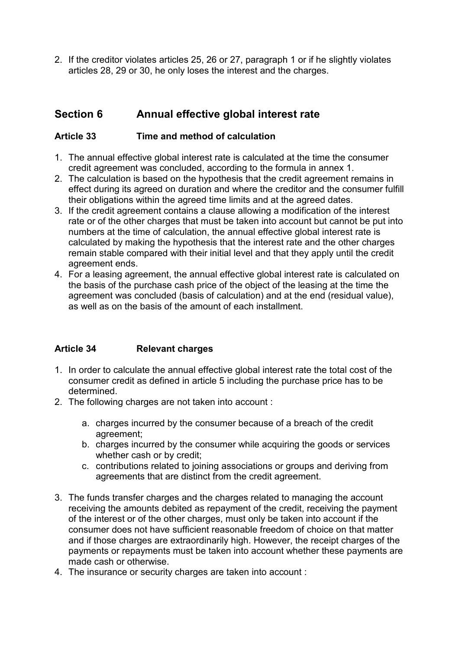2. If the creditor violates articles 25, 26 or 27, paragraph 1 or if he slightly violates articles 28, 29 or 30, he only loses the interest and the charges.

## **Section 6 Annual effective global interest rate**

### **Article 33 Time and method of calculation**

- 1. The annual effective global interest rate is calculated at the time the consumer credit agreement was concluded, according to the formula in annex 1.
- 2. The calculation is based on the hypothesis that the credit agreement remains in effect during its agreed on duration and where the creditor and the consumer fulfill their obligations within the agreed time limits and at the agreed dates.
- 3. If the credit agreement contains a clause allowing a modification of the interest rate or of the other charges that must be taken into account but cannot be put into numbers at the time of calculation, the annual effective global interest rate is calculated by making the hypothesis that the interest rate and the other charges remain stable compared with their initial level and that they apply until the credit agreement ends.
- 4. For a leasing agreement, the annual effective global interest rate is calculated on the basis of the purchase cash price of the object of the leasing at the time the agreement was concluded (basis of calculation) and at the end (residual value), as well as on the basis of the amount of each installment.

#### **Article 34 Relevant charges**

- 1. In order to calculate the annual effective global interest rate the total cost of the consumer credit as defined in article 5 including the purchase price has to be determined.
- 2. The following charges are not taken into account :
	- a. charges incurred by the consumer because of a breach of the credit agreement;
	- b. charges incurred by the consumer while acquiring the goods or services whether cash or by credit;
	- c. contributions related to joining associations or groups and deriving from agreements that are distinct from the credit agreement.
- 3. The funds transfer charges and the charges related to managing the account receiving the amounts debited as repayment of the credit, receiving the payment of the interest or of the other charges, must only be taken into account if the consumer does not have sufficient reasonable freedom of choice on that matter and if those charges are extraordinarily high. However, the receipt charges of the payments or repayments must be taken into account whether these payments are made cash or otherwise.
- 4. The insurance or security charges are taken into account :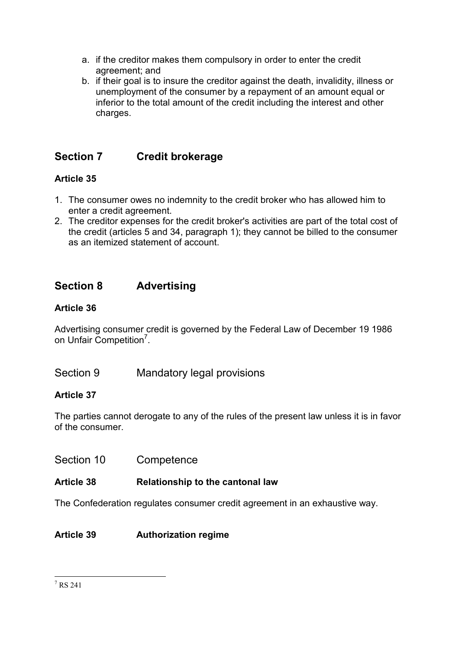- a. if the creditor makes them compulsory in order to enter the credit agreement; and
- b. if their goal is to insure the creditor against the death, invalidity, illness or unemployment of the consumer by a repayment of an amount equal or inferior to the total amount of the credit including the interest and other charges.

## **Section 7 Credit brokerage**

## **Article 35**

- 1. The consumer owes no indemnity to the credit broker who has allowed him to enter a credit agreement.
- 2. The creditor expenses for the credit broker's activities are part of the total cost of the credit (articles 5 and 34, paragraph 1); they cannot be billed to the consumer as an itemized statement of account.

## **Section 8 Advertising**

## **Article 36**

Advertising consumer credit is governed by the Federal Law of December 19 1986 on Unfair Competition<sup>7</sup>.

Section 9 Mandatory legal provisions

## **Article 37**

The parties cannot derogate to any of the rules of the present law unless it is in favor of the consumer.

Section 10 Competence

## **Article 38 Relationship to the cantonal law**

The Confederation regulates consumer credit agreement in an exhaustive way.

## **Article 39 Authorization regime**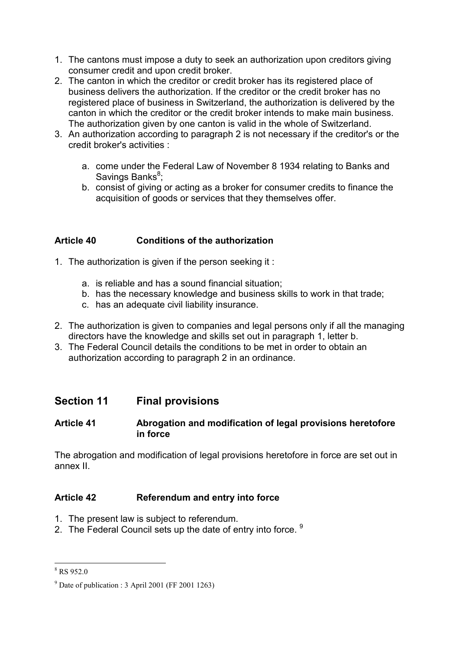- 1. The cantons must impose a duty to seek an authorization upon creditors giving consumer credit and upon credit broker.
- 2. The canton in which the creditor or credit broker has its registered place of business delivers the authorization. If the creditor or the credit broker has no registered place of business in Switzerland, the authorization is delivered by the canton in which the creditor or the credit broker intends to make main business. The authorization given by one canton is valid in the whole of Switzerland.
- 3. An authorization according to paragraph 2 is not necessary if the creditor's or the credit broker's activities :
	- a. come under the Federal Law of November 8 1934 relating to Banks and Savings Banks<sup>8</sup>;
	- b. consist of giving or acting as a broker for consumer credits to finance the acquisition of goods or services that they themselves offer.

### **Article 40 Conditions of the authorization**

- 1. The authorization is given if the person seeking it :
	- a. is reliable and has a sound financial situation;
	- b. has the necessary knowledge and business skills to work in that trade;
	- c. has an adequate civil liability insurance.
- 2. The authorization is given to companies and legal persons only if all the managing directors have the knowledge and skills set out in paragraph 1, letter b.
- 3. The Federal Council details the conditions to be met in order to obtain an authorization according to paragraph 2 in an ordinance.

## **Section 11 Final provisions**

#### **Article 41 Abrogation and modification of legal provisions heretofore in force**

The abrogation and modification of legal provisions heretofore in force are set out in annex II.

#### **Article 42 Referendum and entry into force**

- 1. The present law is subject to referendum.
- 2. The Federal Council sets up the date of entry into force.  $9$

<sup>&</sup>lt;sup>8</sup> RS 952.0

 $9^9$  Date of publication : 3 April 2001 (FF 2001 1263)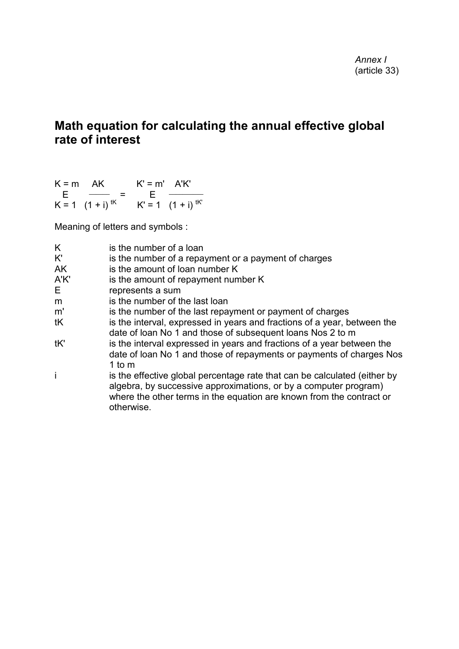# **Math equation for calculating the annual effective global rate of interest**

| $K = m$ AK |                        | $K' = m'$ $A'K'$ |                                          |
|------------|------------------------|------------------|------------------------------------------|
|            | – E <del>– – –</del> = |                  | <u> 1999 - Albany Standard Barbara (</u> |
|            | $K = 1$ $(1 + i)^{tk}$ |                  | $K' = 1$ $(1 + i)^{tK'}$                 |

Meaning of letters and symbols :

| K<br>K' | is the number of a loan<br>is the number of a repayment or a payment of charges                                                                                                                                                     |
|---------|-------------------------------------------------------------------------------------------------------------------------------------------------------------------------------------------------------------------------------------|
| AK      | is the amount of loan number K                                                                                                                                                                                                      |
| A'K'    | is the amount of repayment number K                                                                                                                                                                                                 |
| E.      | represents a sum                                                                                                                                                                                                                    |
| m       | is the number of the last loan                                                                                                                                                                                                      |
| m'      | is the number of the last repayment or payment of charges                                                                                                                                                                           |
| tK      | is the interval, expressed in years and fractions of a year, between the<br>date of loan No 1 and those of subsequent loans Nos 2 to m                                                                                              |
| tK'     | is the interval expressed in years and fractions of a year between the<br>date of loan No 1 and those of repayments or payments of charges Nos<br>1 to $m$                                                                          |
|         | is the effective global percentage rate that can be calculated (either by<br>algebra, by successive approximations, or by a computer program)<br>where the other terms in the equation are known from the contract or<br>otherwise. |
|         |                                                                                                                                                                                                                                     |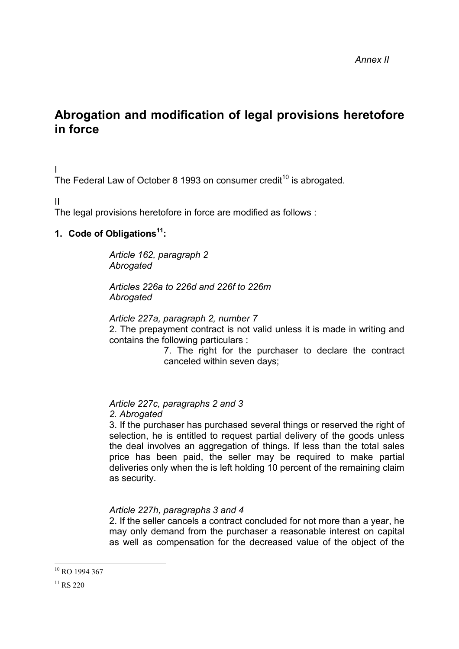# **Abrogation and modification of legal provisions heretofore in force**

#### I

The Federal Law of October 8 1993 on consumer credit<sup>10</sup> is abrogated.

II

The legal provisions heretofore in force are modified as follows :

#### **1. Code of Obligations11:**

*Article 162, paragraph 2 Abrogated*

*Articles 226a to 226d and 226f to 226m Abrogated*

*Article 227a, paragraph 2, number 7* 2. The prepayment contract is not valid unless it is made in writing and

contains the following particulars :

7. The right for the purchaser to declare the contract canceled within seven days;

*Article 227c, paragraphs 2 and 3 2. Abrogated*

3. If the purchaser has purchased several things or reserved the right of selection, he is entitled to request partial delivery of the goods unless the deal involves an aggregation of things. If less than the total sales price has been paid, the seller may be required to make partial deliveries only when the is left holding 10 percent of the remaining claim as security.

#### *Article 227h, paragraphs 3 and 4*

2. If the seller cancels a contract concluded for not more than a year, he may only demand from the purchaser a reasonable interest on capital as well as compensation for the decreased value of the object of the

l

<sup>&</sup>lt;sup>10</sup> RO 1994 367

 $11$  RS 220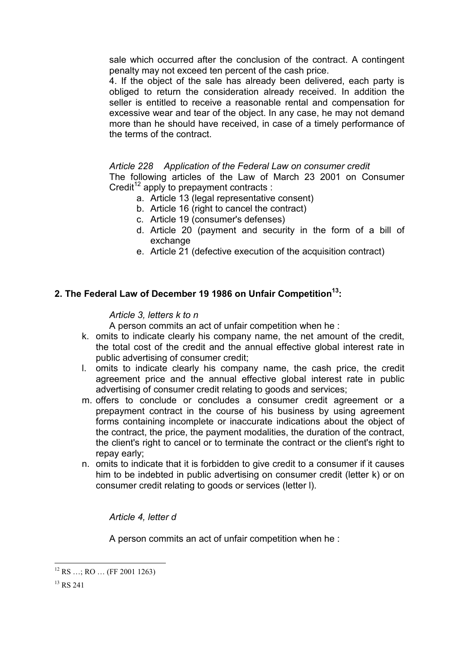sale which occurred after the conclusion of the contract. A contingent penalty may not exceed ten percent of the cash price.

4. If the object of the sale has already been delivered, each party is obliged to return the consideration already received. In addition the seller is entitled to receive a reasonable rental and compensation for excessive wear and tear of the object. In any case, he may not demand more than he should have received, in case of a timely performance of the terms of the contract.

#### *Article 228 Application of the Federal Law on consumer credit*

The following articles of the Law of March 23 2001 on Consumer Credit<sup>12</sup> apply to prepayment contracts :

- a. Article 13 (legal representative consent)
- b. Article 16 (right to cancel the contract)
- c. Article 19 (consumer's defenses)
- d. Article 20 (payment and security in the form of a bill of exchange
- e. Article 21 (defective execution of the acquisition contract)

#### **2. The Federal Law of December 19 1986 on Unfair Competition13:**

#### *Article 3, letters k to n*

A person commits an act of unfair competition when he :

- k. omits to indicate clearly his company name, the net amount of the credit, the total cost of the credit and the annual effective global interest rate in public advertising of consumer credit;
- l. omits to indicate clearly his company name, the cash price, the credit agreement price and the annual effective global interest rate in public advertising of consumer credit relating to goods and services;
- m. offers to conclude or concludes a consumer credit agreement or a prepayment contract in the course of his business by using agreement forms containing incomplete or inaccurate indications about the object of the contract, the price, the payment modalities, the duration of the contract, the client's right to cancel or to terminate the contract or the client's right to repay early;
- n. omits to indicate that it is forbidden to give credit to a consumer if it causes him to be indebted in public advertising on consumer credit (letter k) or on consumer credit relating to goods or services (letter l).

*Article 4, letter d*

A person commits an act of unfair competition when he :

l  $12$  RS  $\ldots$ ; RO  $\ldots$  (FF 2001 1263)